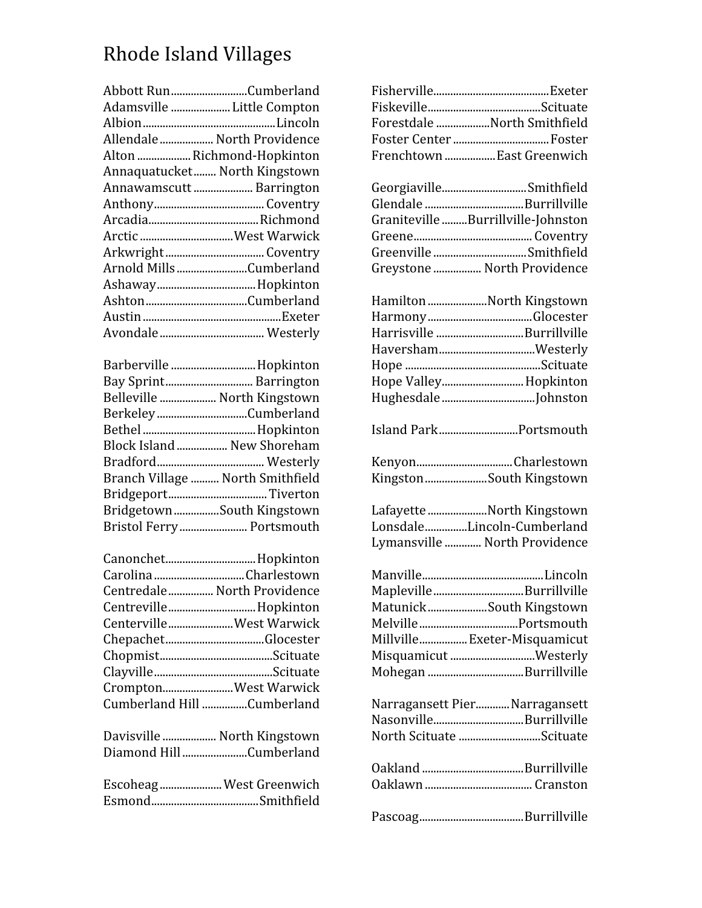## Rhode
Island
Villages

| Abbott RunCumberland          |
|-------------------------------|
| Adamsville  Little Compton    |
|                               |
| Allendale  North Providence   |
| Alton  Richmond-Hopkinton     |
| Annaquatucket North Kingstown |
| Annawamscutt  Barrington      |
|                               |
|                               |
| Arctic  West Warwick          |
|                               |
| Arnold MillsCumberland        |
|                               |
|                               |
|                               |
|                               |
|                               |

| Barberville  Hopkinton      |                                  |
|-----------------------------|----------------------------------|
| Bay Sprint Barrington       |                                  |
| Belleville  North Kingstown |                                  |
| BerkeleyCumberland          |                                  |
|                             |                                  |
|                             | Block Island  New Shoreham       |
|                             |                                  |
|                             | Branch Village  North Smithfield |
|                             |                                  |
| Bridgetown South Kingstown  |                                  |
|                             | Bristol Ferry  Portsmouth        |

| Canonchet Hopkinton         |  |
|-----------------------------|--|
| Carolina Charlestown        |  |
| Centredale North Providence |  |
| Centreville Hopkinton       |  |
| CentervilleWest Warwick     |  |
|                             |  |
|                             |  |
|                             |  |
| CromptonWest Warwick        |  |
| Cumberland Hill Cumberland  |  |
|                             |  |
| Davisville  North Kingstown |  |
| Diamond HillCumberland      |  |

| Escoheag West Greenwich |
|-------------------------|
|                         |

| Forestdale North Smithfield        |
|------------------------------------|
| Foster Center  Foster              |
| Frenchtown  East Greenwich         |
|                                    |
| GeorgiavilleSmithfield             |
|                                    |
| Graniteville Burrillville-Johnston |
|                                    |
| Greenville Smithfield              |
| Greystone  North Providence        |
|                                    |
| Hamilton North Kingstown           |
|                                    |
| Harrisville Burrillville           |
| HavershamWesterly                  |
|                                    |
| Hope Valley Hopkinton              |
|                                    |
|                                    |
| Island ParkPortsmouth              |
| KenyonCharlestown                  |
| Kingston South Kingstown           |
|                                    |
| Lafayette North Kingstown          |
| LonsdaleLincoln-Cumberland         |
| Lymansville  North Providence      |
|                                    |
|                                    |
| MaplevilleBurrillville             |
| MatunickSouth Kingstown            |
|                                    |
| Millville Exeter-Misquamicut       |
|                                    |
| Misquamicut Westerly               |
| Mohegan Burrillville               |
|                                    |
| Narragansett Pier Narragansett     |
| NasonvilleBurrillville             |
| North Scituate Scituate            |
|                                    |
|                                    |
|                                    |
|                                    |
|                                    |